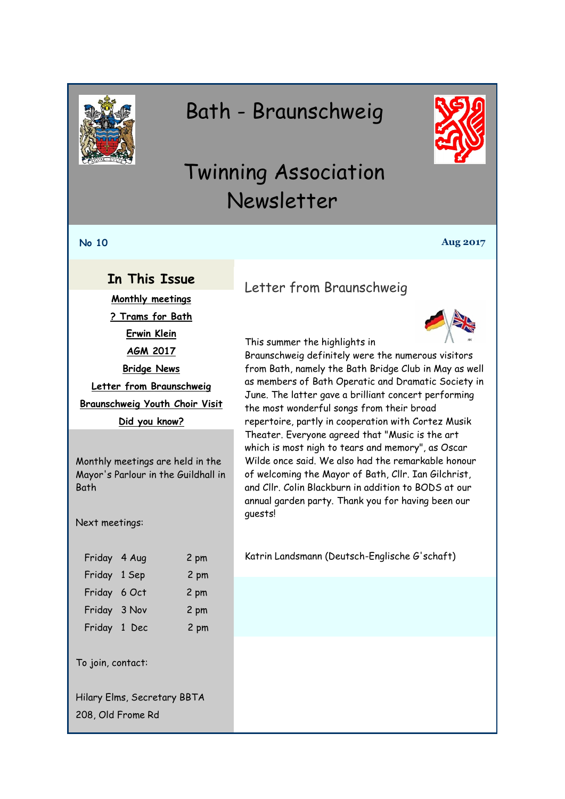<span id="page-0-0"></span>

# Bath - Braunschweig



# Twinning Association Newsletter

#### **No 10 Aug 2017**

#### **In This Issue**

**[Monthly meetings](#page-0-0) [? Trams for Bath](#page-1-0) [Erwin Klein](#page-1-0) [AGM 2017](#page-2-0) [Bridge News](#page-3-0) [Letter from Braunschweig](#page-0-1) [Braunschweig Youth Choir Visit](#page-0-2) [Did you know?](#page-1-1)**

Monthly meetings are held in the Mayor's Parlour in the Guildhall in Bath

Next meetings:

| Friday 4 Aug | 2 pm |
|--------------|------|
| Friday 1 Sep | 2 pm |
| Friday 6 Oct | 2 pm |
| Friday 3 Nov | 2 pm |
| Friday 1 Dec | 2 pm |
|              |      |

To join, contact:

Hilary Elms, Secretary BBTA 208, Old Frome Rd

## <span id="page-0-1"></span>Letter from Braunschweig



This summer the highlights in

Braunschweig definitely were the numerous visitors from Bath, namely the Bath Bridge Club in May as well as members of Bath Operatic and Dramatic Society in June. The latter gave a brilliant concert performing the most wonderful songs from their broad repertoire, partly in cooperation with Cortez Musik Theater. Everyone agreed that "Music is the art which is most nigh to tears and memory", as Oscar Wilde once said. We also had the remarkable honour of welcoming the Mayor of Bath, Cllr. Ian Gilchrist, and Cllr. Colin Blackburn in addition to BODS at our annual garden party. Thank you for having been our guests!

<span id="page-0-2"></span>Katrin Landsmann (Deutsch-Englische G'schaft)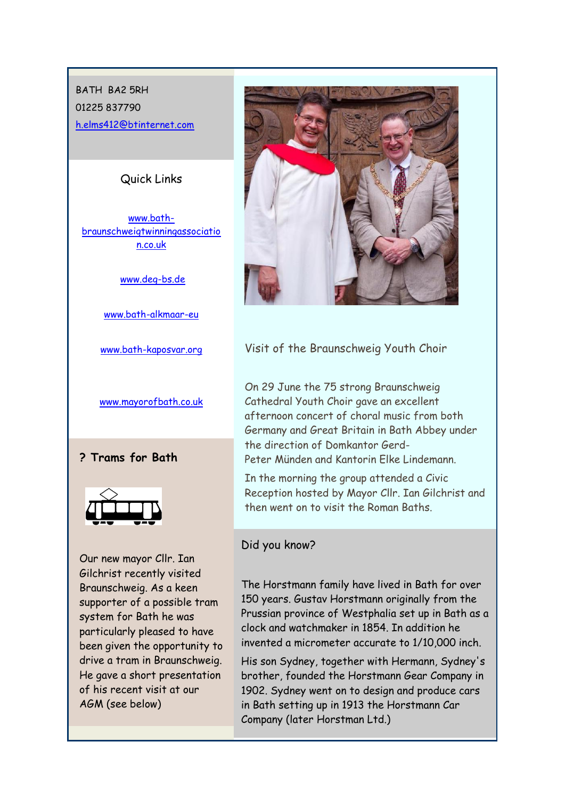# <span id="page-1-0"></span>BATH BA2 5RH 01225 837790 [h.elms412@btinternet.com](mailto:h.elms412@btinternet.com)

#### Quick Links

[www.bath](http://www.bath-braunschweigtwinningassociation.co.uk/)[braunschweigtwinningassociatio](http://www.bath-braunschweigtwinningassociation.co.uk/) [n.co.uk](http://www.bath-braunschweigtwinningassociation.co.uk/)

[www.deg-bs.de](http://www.deg-bs.de/)

[www.bath-alkmaar-eu](http://r20.rs6.net/tn.jsp?f=001rExU7dko6L4yH6JNTlmP_qyNCK8iOtuaxjffVL89fnEQb5ZciYofuDDnMUCQ70AbVMy2Gii31zpGN8Hv_m3XFLoeijqyvwXXPYh7EEQ4kXl5MM8CfhqjgVO5A-gZhLGpCjiwE4D2m9VIPWSxS9GOStd8kYowH6xLAjZNRvbVOJY=&c=Wbf9C_MXJdEPqrFVGfApzeu3xkUj566vPgOyeNpF-MJyFKxRi7zBGQ==&ch=I9arO-E7MZTWIwvjPuLKBAR2OaO0DgXt2X1ZEKBXSQPBu03l6P-gqw==)

[www.bath-kaposvar.org](http://r20.rs6.net/tn.jsp?f=001rExU7dko6L4yH6JNTlmP_qyNCK8iOtuaxjffVL89fnEQb5ZciYofuDDnMUCQ70AbSB167CPdlfQEOx453mP8QD7xYQegx4hVmgeylvLuA_JUakDuA21bQ74KNxV_6nT4eWy_kZzi_Iz9Stsqsi7uH6r9agrkFKXCy35_5qswfLhC0UVOCKUzBA==&c=Wbf9C_MXJdEPqrFVGfApzeu3xkUj566vPgOyeNpF-MJyFKxRi7zBGQ==&ch=I9arO-E7MZTWIwvjPuLKBAR2OaO0DgXt2X1ZEKBXSQPBu03l6P-gqw==)

[www.mayorofbath.co.uk](http://www.mayorofbath.co.uk/)

**? Trams for Bath**



Our new mayor Cllr. Ian Gilchrist recently visited Braunschweig. As a keen supporter of a possible tram system for Bath he was particularly pleased to have been given the opportunity to drive a tram in Braunschweig. He gave a short presentation of his recent visit at our AGM (see below)



#### Visit of the Braunschweig Youth Choir

On 29 June the 75 strong Braunschweig Cathedral Youth Choir gave an excellent afternoon concert of choral music from both Germany and Great Britain in Bath Abbey under the direction of Domkantor Gerd-Peter Münden and Kantorin Elke Lindemann.

In the morning the group attended a Civic Reception hosted by Mayor Cllr. Ian Gilchrist and then went on to visit the Roman Baths.

#### <span id="page-1-1"></span>Did you know?

The Horstmann family have lived in Bath for over 150 years. Gustav Horstmann originally from the Prussian province of Westphalia set up in Bath as a clock and watchmaker in 1854. In addition he invented a micrometer accurate to 1/10,000 inch.

His son Sydney, together with Hermann, Sydney's brother, founded the Horstmann Gear Company in 1902. Sydney went on to design and produce cars in Bath setting up in 1913 the Horstmann Car Company (later Horstman Ltd.)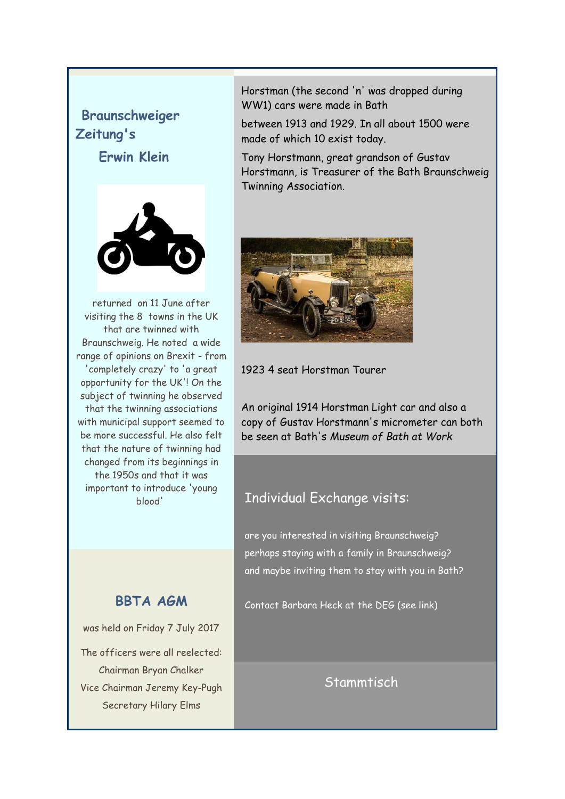# <span id="page-2-0"></span>**Braunschweiger Zeitung's**

**Erwin Klein**



returned on 11 June after visiting the 8 towns in the UK that are twinned with Braunschweig. He noted a wide range of opinions on Brexit - from 'completely crazy' to 'a great opportunity for the UK'! On the subject of twinning he observed that the twinning associations with municipal support seemed to be more successful. He also felt that the nature of twinning had changed from its beginnings in the 1950s and that it was important to introduce 'young blood'

## **BBTA AGM**

was held on Friday 7 July 2017

The officers were all reelected: Chairman Bryan Chalker Vice Chairman Jeremy Key-Pugh Secretary Hilary Elms

Horstman (the second 'n' was dropped during WW1) cars were made in Bath

between 1913 and 1929. In all about 1500 were made of which 10 exist today.

Tony Horstmann, great grandson of Gustav Horstmann, is Treasurer of the Bath Braunschweig Twinning Association.



1923 4 seat Horstman Tourer

An original 1914 Horstman Light car and also a copy of Gustav Horstmann's micrometer can both be seen at Bath's *Museum of Bath at Work*

## Individual Exchange visits:

are you interested in visiting Braunschweig? perhaps staying with a family in Braunschweig? and maybe inviting them to stay with you in Bath?

Contact Barbara Heck at the DEG (see link)

**Stammtisch**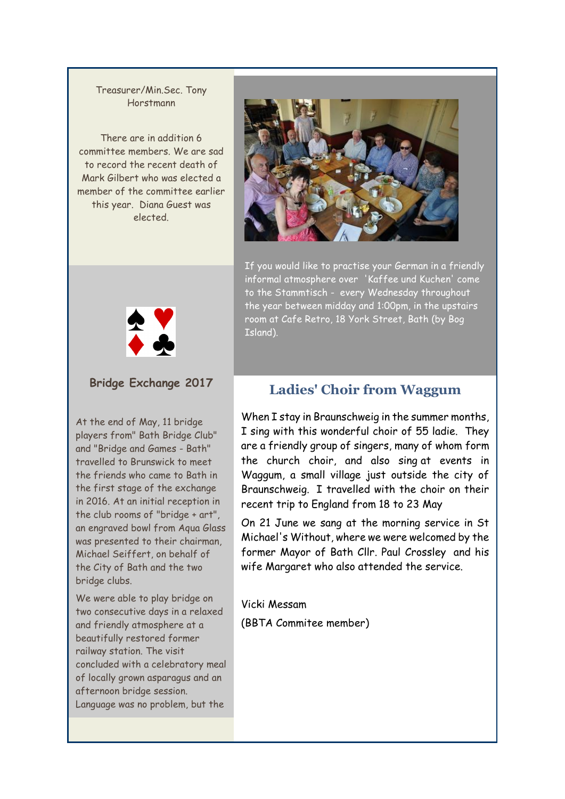#### <span id="page-3-0"></span>Treasurer/Min.Sec. Tony Horstmann

There are in addition 6 committee members. We are sad to record the recent death of Mark Gilbert who was elected a member of the committee earlier this year. Diana Guest was elected.



If you would like to practise your German in a friendly informal atmosphere over 'Kaffee und Kuchen' come to the Stammtisch - every Wednesday throughout the year between midday and 1:00pm, in the upstairs room at Cafe Retro, 18 York Street, Bath (by Bog Island).



#### **Bridge Exchange 2017**

At the end of May, 11 bridge players from" Bath Bridge Club" and "Bridge and Games - Bath" travelled to Brunswick to meet the friends who came to Bath in the first stage of the exchange in 2016. At an initial reception in the club rooms of "bridge + art", an engraved bowl from Aqua Glass was presented to their chairman, Michael Seiffert, on behalf of the City of Bath and the two bridge clubs.

We were able to play bridge on two consecutive days in a relaxed and friendly atmosphere at a beautifully restored former railway station. The visit concluded with a celebratory meal of locally grown asparagus and an afternoon bridge session. Language was no problem, but the

## **Ladies' Choir from Waggum**

When I stay in Braunschweig in the summer months, I sing with this wonderful choir of 55 ladie. They are a friendly group of singers, many of whom form the church choir, and also sing at events in Waggum, a small village just outside the city of Braunschweig. I travelled with the choir on their recent trip to England from 18 to 23 May

On 21 June we sang at the morning service in St Michael's Without, where we were welcomed by the former Mayor of Bath Cllr. Paul Crossley and his wife Margaret who also attended the service.

Vicki Messam

(BBTA Commitee member)